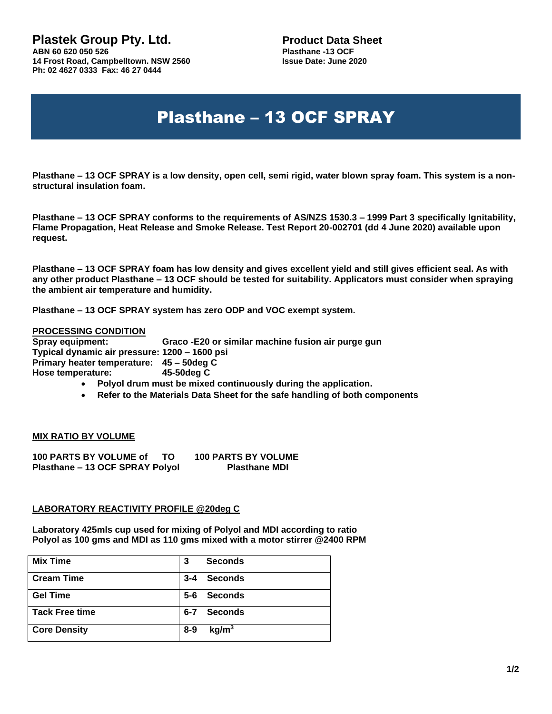**14 Frost Road, Campbelltown. NSW 2560 Ph: 02 4627 0333 Fax: 46 27 0444**

**Plastek Group Pty. Ltd.** Product Data Sheet<br>
ABN 60 620 050 526<br>
Plasthane -13 OCF **Plasthane -13 OCF**<br>Issue Date: June 2020

# Plasthane – 13 OCF SPRAY

**Plasthane – 13 OCF SPRAY is a low density, open cell, semi rigid, water blown spray foam. This system is a nonstructural insulation foam.**

**Plasthane – 13 OCF SPRAY conforms to the requirements of AS/NZS 1530.3 – 1999 Part 3 specifically Ignitability, Flame Propagation, Heat Release and Smoke Release. Test Report 20-002701 (dd 4 June 2020) available upon request.**

**Plasthane – 13 OCF SPRAY foam has low density and gives excellent yield and still gives efficient seal. As with any other product Plasthane – 13 OCF should be tested for suitability. Applicators must consider when spraying the ambient air temperature and humidity.**

**Plasthane – 13 OCF SPRAY system has zero ODP and VOC exempt system.**

#### **PROCESSING CONDITION**

**Spray equipment: Graco -E20 or similar machine fusion air purge gun Typical dynamic air pressure: 1200 – 1600 psi Primary heater temperature: 45 – 50deg C Hose temperature: 45-50deg C**

- **Polyol drum must be mixed continuously during the application.**
- **Refer to the Materials Data Sheet for the safe handling of both components**

#### **MIX RATIO BY VOLUME**

**100 PARTS BY VOLUME of TO 100 PARTS BY VOLUME Plasthane – 13 OCF SPRAY Polyol Plasthane MDI**

#### **LABORATORY REACTIVITY PROFILE @20deg C**

**Laboratory 425mls cup used for mixing of Polyol and MDI according to ratio Polyol as 100 gms and MDI as 110 gms mixed with a motor stirrer @2400 RPM**

| <b>Mix Time</b>       | <b>Seconds</b><br>3          |
|-----------------------|------------------------------|
| <b>Cream Time</b>     | $3 - 4$<br><b>Seconds</b>    |
| <b>Gel Time</b>       | $5 - 6$<br><b>Seconds</b>    |
| <b>Tack Free time</b> | $6 - 7$<br><b>Seconds</b>    |
| <b>Core Density</b>   | kg/m <sup>3</sup><br>$8 - 9$ |